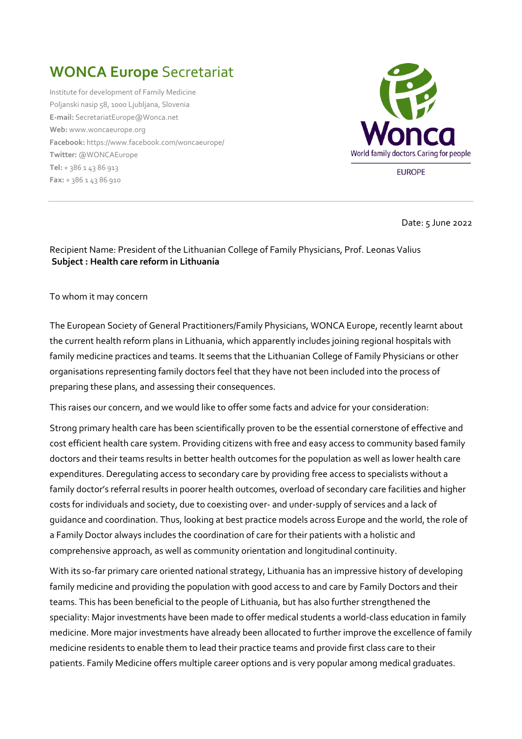## **WONCA Europe** Secretariat

Institute for development of Family Medicine Poljanski nasip 58, 1000 Ljubljana, Slovenia **E-mail:** [SecretariatEurope@Wonca.net](mailto:SecretariatEurope@Wonca.net) **Web:** [www.woncaeurope.org](http://www.woncaeurope.org/) **Facebook:** <https://www.facebook.com/woncaeurope/> **Twitter:** [@WONCAEurope](http://twitter.com/WoncaEurope) **Tel:** + 386 1 43 86 913 **Fax:** + 386 1 43 86 910



**EUROPE** 

Date: 5 June 2022

## Recipient Name: President of the Lithuanian College of Family Physicians, Prof. Leonas Valius **Subject : Health care reform in Lithuania**

To whom it may concern

The European Society of General Practitioners/Family Physicians, WONCA Europe, recently learnt about the current health reform plans in Lithuania, which apparently includes joining regional hospitals with family medicine practices and teams. It seems that the Lithuanian College of Family Physicians or other organisations representing family doctors feel that they have not been included into the process of preparing these plans, and assessing their consequences.

This raises our concern, and we would like to offer some facts and advice for your consideration:

Strong primary health care has been scientifically proven to be the essential cornerstone of effective and cost efficient health care system. Providing citizens with free and easy access to community based family doctors and their teams results in better health outcomes for the population as well as lower health care expenditures. Deregulating access to secondary care by providing free access to specialists without a family doctor's referral results in poorer health outcomes, overload of secondary care facilities and higher costs for individuals and society, due to coexisting over- and under-supply of services and a lack of guidance and coordination. Thus, looking at best practice models across Europe and the world, the role of a Family Doctor always includes the coordination of care for their patients with a holistic and comprehensive approach, as well as community orientation and longitudinal continuity.

With its so-far primary care oriented national strategy, Lithuania has an impressive history of developing family medicine and providing the population with good access to and care by Family Doctors and their teams. This has been beneficial to the people of Lithuania, but has also further strengthened the speciality: Major investments have been made to offer medical students a world-class education in family medicine. More major investments have already been allocated to further improve the excellence of family medicine residents to enable them to lead their practice teams and provide first class care to their patients. Family Medicine offers multiple career options and is very popular among medical graduates.